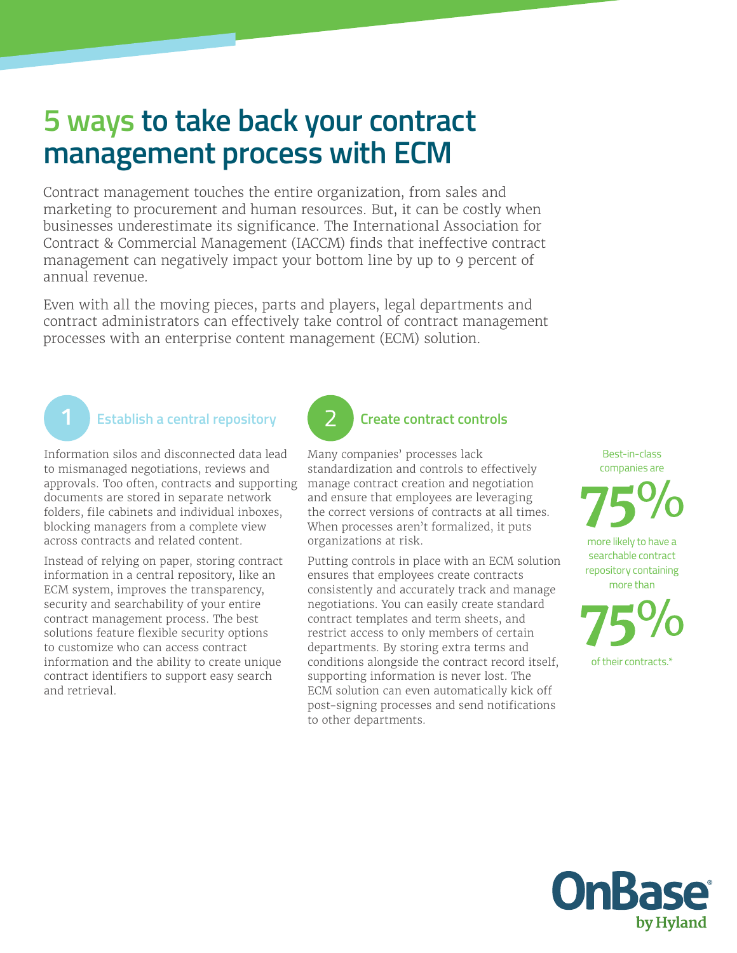## **5 ways to take back your contract management process with ECM**

Contract management touches the entire organization, from sales and marketing to procurement and human resources. But, it can be costly when businesses underestimate its significance. The International Association for Contract & Commercial Management (IACCM) finds that ineffective contract management can negatively impact your bottom line by up to 9 percent of annual revenue.

Even with all the moving pieces, parts and players, legal departments and contract administrators can effectively take control of contract management processes with an enterprise content management (ECM) solution.



#### **Establish a central repository**

Information silos and disconnected data lead to mismanaged negotiations, reviews and approvals. Too often, contracts and supporting documents are stored in separate network folders, file cabinets and individual inboxes, blocking managers from a complete view across contracts and related content.

Instead of relying on paper, storing contract information in a central repository, like an ECM system, improves the transparency, security and searchability of your entire contract management process. The best solutions feature flexible security options to customize who can access contract information and the ability to create unique contract identifiers to support easy search and retrieval.

# **Create contract controls**

Many companies' processes lack standardization and controls to effectively manage contract creation and negotiation and ensure that employees are leveraging the correct versions of contracts at all times. When processes aren't formalized, it puts organizations at risk.

Putting controls in place with an ECM solution ensures that employees create contracts consistently and accurately track and manage negotiations. You can easily create standard contract templates and term sheets, and restrict access to only members of certain departments. By storing extra terms and conditions alongside the contract record itself, supporting information is never lost. The ECM solution can even automatically kick off post-signing processes and send notifications to other departments.

Best-in-class companies are

more likely to have a searchable contract repository containing more than

of their contracts.\*